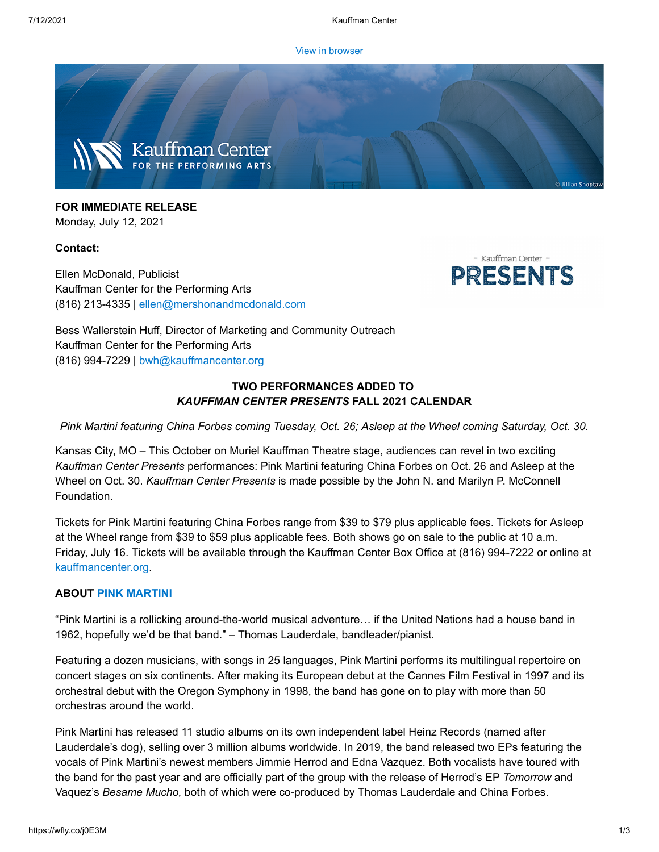[View in browser](https://e.wordfly.com/click?sid=MTc4XzE0Mjc3XzEzMTExXzY2OTg&l=7facfec3-25e0-eb11-a826-0050569d9d1d&utm_source=wordfly&utm_medium=email&utm_campaign=Release%3APinkMartini%2CAsleepattheWheel&utm_content=version_A&sourceNumber=)



**FOR IMMEDIATE RELEASE** Monday, July 12, 2021

## **Contact:**

Ellen McDonald, Publicist Kauffman Center for the Performing Arts (816) 213-4335 | [ellen@mershonandmcdonald.com](mailto:ellen@mershonandmcdonald.com)



Bess Wallerstein Huff, Director of Marketing and Community Outreach Kauffman Center for the Performing Arts (816) 994-7229 | [bwh@kauffmancenter.org](mailto:bwh@kauffmancenter.org)

# **TWO PERFORMANCES ADDED TO** *KAUFFMAN CENTER PRESENTS* **FALL 2021 CALENDAR**

*Pink Martini featuring China Forbes coming Tuesday, Oct. 26; Asleep at the Wheel coming Saturday, Oct. 30.*

Kansas City, MO – This October on Muriel Kauffman Theatre stage, audiences can revel in two exciting *Kauffman Center Presents* performances: Pink Martini featuring China Forbes on Oct. 26 and Asleep at the Wheel on Oct. 30. *Kauffman Center Presents* is made possible by the John N. and Marilyn P. McConnell Foundation.

Tickets for Pink Martini featuring China Forbes range from \$39 to \$79 plus applicable fees. Tickets for Asleep at the Wheel range from \$39 to \$59 plus applicable fees. Both shows go on sale to the public at 10 a.m. Friday, July 16. Tickets will be available through the Kauffman Center Box Office at (816) 994-7222 or online at [kauffmancenter.org.](https://e.wordfly.com/click?sid=MTc4XzE0Mjc3XzEzMTExXzY2OTg&l=82acfec3-25e0-eb11-a826-0050569d9d1d&utm_source=wordfly&utm_medium=email&utm_campaign=Release%3APinkMartini%2CAsleepattheWheel&utm_content=version_A&sourceNumber=)

## **ABOUT PINK [MARTINI](https://e.wordfly.com/click?sid=MTc4XzE0Mjc3XzEzMTExXzY2OTg&l=83acfec3-25e0-eb11-a826-0050569d9d1d&utm_source=wordfly&utm_medium=email&utm_campaign=Release%3APinkMartini%2CAsleepattheWheel&utm_content=version_A&sourceNumber=)**

"Pink Martini is a rollicking around-the-world musical adventure… if the United Nations had a house band in 1962, hopefully we'd be that band." – Thomas Lauderdale, bandleader/pianist.

Featuring a dozen musicians, with songs in 25 languages, Pink Martini performs its multilingual repertoire on concert stages on six continents. After making its European debut at the Cannes Film Festival in 1997 and its orchestral debut with the Oregon Symphony in 1998, the band has gone on to play with more than 50 orchestras around the world.

Pink Martini has released 11 studio albums on its own independent label Heinz Records (named after Lauderdale's dog), selling over 3 million albums worldwide. In 2019, the band released two EPs featuring the vocals of Pink Martini's newest members Jimmie Herrod and Edna Vazquez. Both vocalists have toured with the band for the past year and are officially part of the group with the release of Herrod's EP *Tomorrow* and Vaquez's *Besame Mucho,* both of which were co-produced by Thomas Lauderdale and China Forbes.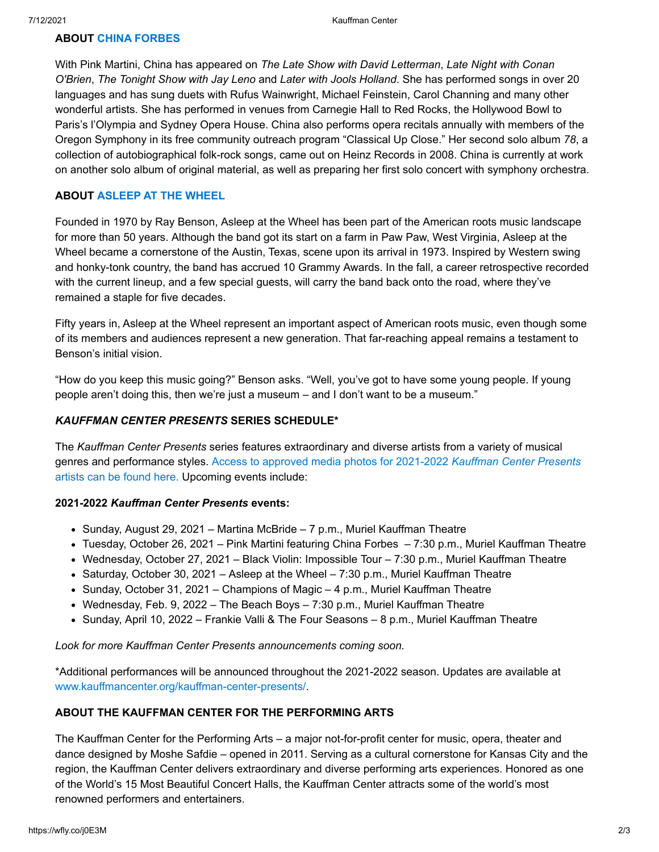# **ABOUT CHINA [FORBES](https://e.wordfly.com/click?sid=MTc4XzE0Mjc3XzEzMTExXzY2OTg&l=84acfec3-25e0-eb11-a826-0050569d9d1d&utm_source=wordfly&utm_medium=email&utm_campaign=Release%3APinkMartini%2CAsleepattheWheel&utm_content=version_A&sourceNumber=)**

With Pink Martini, China has appeared on *The Late Show with David Letterman*, *Late Night with Conan O'Brien*, *The Tonight Show with Jay Leno* and *Later with Jools Holland*. She has performed songs in over 20 languages and has sung duets with Rufus Wainwright, Michael Feinstein, Carol Channing and many other wonderful artists. She has performed in venues from Carnegie Hall to Red Rocks, the Hollywood Bowl to Paris's l'Olympia and Sydney Opera House. China also performs opera recitals annually with members of the Oregon Symphony in its free community outreach program "Classical Up Close." Her second solo album *78*, a collection of autobiographical folk-rock songs, came out on Heinz Records in 2008. China is currently at work on another solo album of original material, as well as preparing her first solo concert with symphony orchestra.

#### **ABOUT ASLEEP [AT THE WHEEL](https://e.wordfly.com/click?sid=MTc4XzE0Mjc3XzEzMTExXzY2OTg&l=85acfec3-25e0-eb11-a826-0050569d9d1d&utm_source=wordfly&utm_medium=email&utm_campaign=Release%3APinkMartini%2CAsleepattheWheel&utm_content=version_A&sourceNumber=)**

Founded in 1970 by Ray Benson, Asleep at the Wheel has been part of the American roots music landscape for more than 50 years. Although the band got its start on a farm in Paw Paw, West Virginia, Asleep at the Wheel became a cornerstone of the Austin, Texas, scene upon its arrival in 1973. Inspired by Western swing and honky-tonk country, the band has accrued 10 Grammy Awards. In the fall, a career retrospective recorded with the current lineup, and a few special guests, will carry the band back onto the road, where they've remained a staple for five decades.

Fifty years in, Asleep at the Wheel represent an important aspect of American roots music, even though some of its members and audiences represent a new generation. That far-reaching appeal remains a testament to Benson's initial vision.

"How do you keep this music going?" Benson asks. "Well, you've got to have some young people. If young people aren't doing this, then we're just a museum – and I don't want to be a museum."

## *KAUFFMAN CENTER PRESENTS* **SERIES SCHEDULE\***

The *Kauffman Center Presents* series features extraordinary and diverse artists from a variety of musical genres and performance styles. Access to approved media photos for 2021-2022 *Kauffman Center Presents* artists [can be found here. Upcoming events include:](https://e.wordfly.com/click?sid=MTc4XzE0Mjc3XzEzMTExXzY2OTg&l=86acfec3-25e0-eb11-a826-0050569d9d1d&utm_source=wordfly&utm_medium=email&utm_campaign=Release%3APinkMartini%2CAsleepattheWheel&utm_content=version_A&sourceNumber=)

#### **2021-2022** *Kauffman Center Presents* **events:**

- $\bullet$  Sunday, August 29, 2021 Martina McBride 7 p.m., Muriel Kauffman Theatre
- Tuesday, October 26, 2021 Pink Martini featuring China Forbes 7:30 p.m., Muriel Kauffman Theatre
- Wednesday, October 27, 2021 Black Violin: Impossible Tour 7:30 p.m., Muriel Kauffman Theatre
- Saturday, October 30, 2021 Asleep at the Wheel 7:30 p.m., Muriel Kauffman Theatre
- $\bullet$  Sunday, October 31, 2021 Champions of Magic 4 p.m., Muriel Kauffman Theatre
- Wednesday, Feb. 9, 2022 The Beach Boys 7:30 p.m., Muriel Kauffman Theatre
- Sunday, April 10, 2022 Frankie Valli & The Four Seasons 8 p.m., Muriel Kauffman Theatre

*Look for more Kauffman Center Presents announcements coming soon.*

\*Additional performances will be announced throughout the 2021-2022 season. Updates are available at [www.kauffmancenter.org/kauffman-center-presents/.](https://e.wordfly.com/click?sid=MTc4XzE0Mjc3XzEzMTExXzY2OTg&l=87acfec3-25e0-eb11-a826-0050569d9d1d&utm_source=wordfly&utm_medium=email&utm_campaign=Release%3APinkMartini%2CAsleepattheWheel&utm_content=version_A&sourceNumber=)

#### **ABOUT THE KAUFFMAN CENTER FOR THE PERFORMING ARTS**

The Kauffman Center for the Performing Arts – a major not-for-profit center for music, opera, theater and dance designed by Moshe Safdie – opened in 2011. Serving as a cultural cornerstone for Kansas City and the region, the Kauffman Center delivers extraordinary and diverse performing arts experiences. Honored as one of the World's 15 Most Beautiful Concert Halls, the Kauffman Center attracts some of the world's most renowned performers and entertainers.